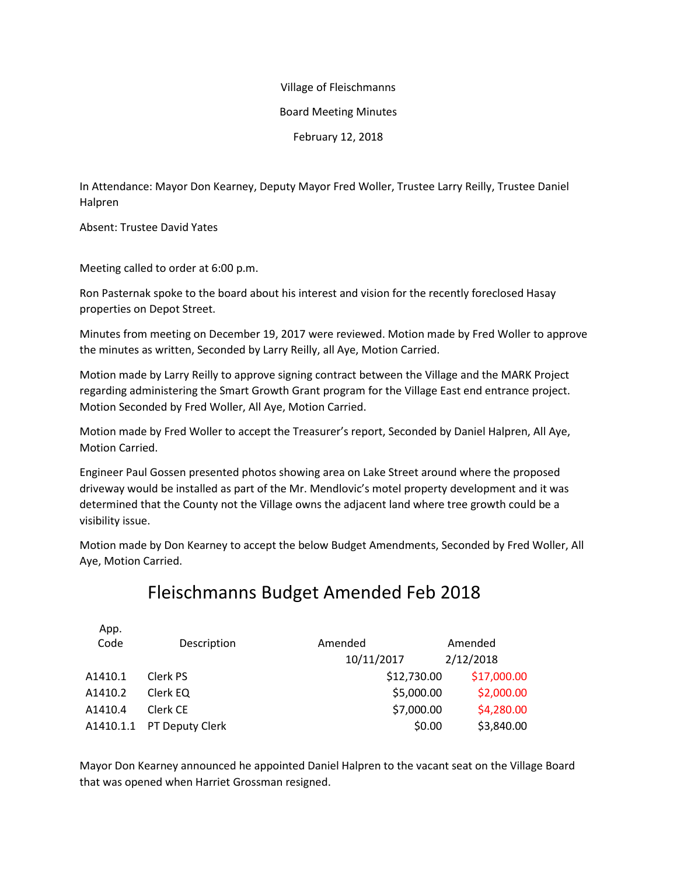### Village of Fleischmanns

#### Board Meeting Minutes

February 12, 2018

In Attendance: Mayor Don Kearney, Deputy Mayor Fred Woller, Trustee Larry Reilly, Trustee Daniel Halpren

Absent: Trustee David Yates

Meeting called to order at 6:00 p.m.

Ron Pasternak spoke to the board about his interest and vision for the recently foreclosed Hasay properties on Depot Street.

Minutes from meeting on December 19, 2017 were reviewed. Motion made by Fred Woller to approve the minutes as written, Seconded by Larry Reilly, all Aye, Motion Carried.

Motion made by Larry Reilly to approve signing contract between the Village and the MARK Project regarding administering the Smart Growth Grant program for the Village East end entrance project. Motion Seconded by Fred Woller, All Aye, Motion Carried.

Motion made by Fred Woller to accept the Treasurer's report, Seconded by Daniel Halpren, All Aye, Motion Carried.

Engineer Paul Gossen presented photos showing area on Lake Street around where the proposed driveway would be installed as part of the Mr. Mendlovic's motel property development and it was determined that the County not the Village owns the adjacent land where tree growth could be a visibility issue.

Motion made by Don Kearney to accept the below Budget Amendments, Seconded by Fred Woller, All Aye, Motion Carried.

# Fleischmanns Budget Amended Feb 2018

| App.      |                 |             |             |
|-----------|-----------------|-------------|-------------|
| Code      | Description     | Amended     | Amended     |
|           |                 | 10/11/2017  | 2/12/2018   |
| A1410.1   | Clerk PS        | \$12,730.00 | \$17,000.00 |
| A1410.2   | Clerk EQ        | \$5,000.00  | \$2,000.00  |
| A1410.4   | Clerk CE        | \$7,000.00  | \$4,280.00  |
| A1410.1.1 | PT Deputy Clerk | \$0.00      | \$3,840.00  |
|           |                 |             |             |

Mayor Don Kearney announced he appointed Daniel Halpren to the vacant seat on the Village Board that was opened when Harriet Grossman resigned.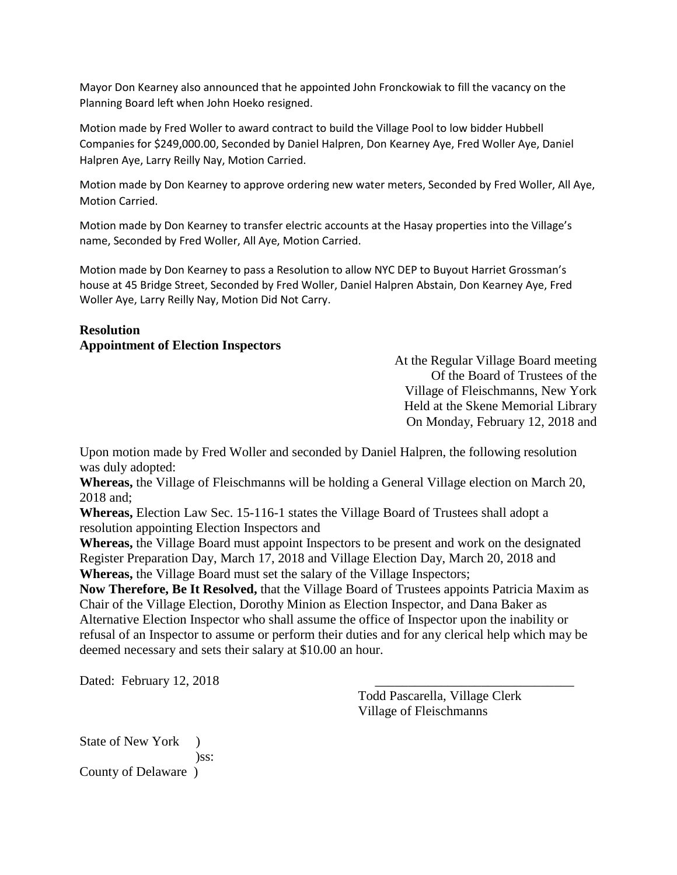Mayor Don Kearney also announced that he appointed John Fronckowiak to fill the vacancy on the Planning Board left when John Hoeko resigned.

Motion made by Fred Woller to award contract to build the Village Pool to low bidder Hubbell Companies for \$249,000.00, Seconded by Daniel Halpren, Don Kearney Aye, Fred Woller Aye, Daniel Halpren Aye, Larry Reilly Nay, Motion Carried.

Motion made by Don Kearney to approve ordering new water meters, Seconded by Fred Woller, All Aye, Motion Carried.

Motion made by Don Kearney to transfer electric accounts at the Hasay properties into the Village's name, Seconded by Fred Woller, All Aye, Motion Carried.

Motion made by Don Kearney to pass a Resolution to allow NYC DEP to Buyout Harriet Grossman's house at 45 Bridge Street, Seconded by Fred Woller, Daniel Halpren Abstain, Don Kearney Aye, Fred Woller Aye, Larry Reilly Nay, Motion Did Not Carry.

## **Resolution Appointment of Election Inspectors**

At the Regular Village Board meeting Of the Board of Trustees of the Village of Fleischmanns, New York Held at the Skene Memorial Library On Monday, February 12, 2018 and

Upon motion made by Fred Woller and seconded by Daniel Halpren, the following resolution was duly adopted:

**Whereas,** the Village of Fleischmanns will be holding a General Village election on March 20, 2018 and;

**Whereas,** Election Law Sec. 15-116-1 states the Village Board of Trustees shall adopt a resolution appointing Election Inspectors and

**Whereas,** the Village Board must appoint Inspectors to be present and work on the designated Register Preparation Day, March 17, 2018 and Village Election Day, March 20, 2018 and **Whereas,** the Village Board must set the salary of the Village Inspectors;

**Now Therefore, Be It Resolved,** that the Village Board of Trustees appoints Patricia Maxim as Chair of the Village Election, Dorothy Minion as Election Inspector, and Dana Baker as Alternative Election Inspector who shall assume the office of Inspector upon the inability or refusal of an Inspector to assume or perform their duties and for any clerical help which may be deemed necessary and sets their salary at \$10.00 an hour.

Dated: February  $12, 2018$ 

Todd Pascarella, Village Clerk Village of Fleischmanns

State of New York ) )ss: County of Delaware )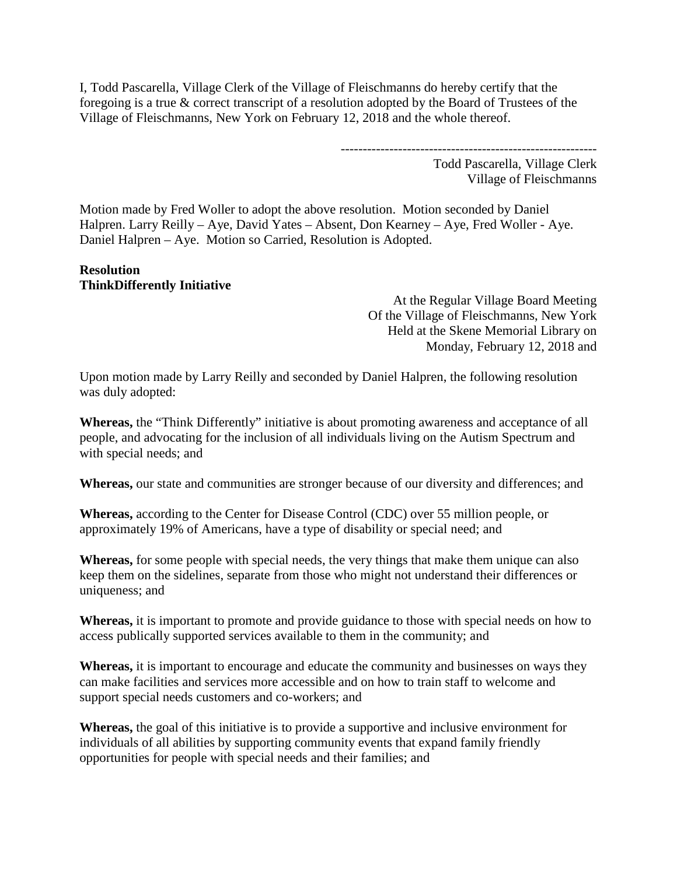I, Todd Pascarella, Village Clerk of the Village of Fleischmanns do hereby certify that the foregoing is a true & correct transcript of a resolution adopted by the Board of Trustees of the Village of Fleischmanns, New York on February 12, 2018 and the whole thereof.

> ---------------------------------------------------------- Todd Pascarella, Village Clerk Village of Fleischmanns

Motion made by Fred Woller to adopt the above resolution. Motion seconded by Daniel Halpren. Larry Reilly – Aye, David Yates – Absent, Don Kearney – Aye, Fred Woller - Aye. Daniel Halpren – Aye. Motion so Carried, Resolution is Adopted.

## **Resolution ThinkDifferently Initiative**

At the Regular Village Board Meeting Of the Village of Fleischmanns, New York Held at the Skene Memorial Library on Monday, February 12, 2018 and

Upon motion made by Larry Reilly and seconded by Daniel Halpren, the following resolution was duly adopted:

**Whereas,** the "Think Differently" initiative is about promoting awareness and acceptance of all people, and advocating for the inclusion of all individuals living on the Autism Spectrum and with special needs; and

**Whereas,** our state and communities are stronger because of our diversity and differences; and

**Whereas,** according to the Center for Disease Control (CDC) over 55 million people, or approximately 19% of Americans, have a type of disability or special need; and

**Whereas,** for some people with special needs, the very things that make them unique can also keep them on the sidelines, separate from those who might not understand their differences or uniqueness; and

**Whereas,** it is important to promote and provide guidance to those with special needs on how to access publically supported services available to them in the community; and

**Whereas,** it is important to encourage and educate the community and businesses on ways they can make facilities and services more accessible and on how to train staff to welcome and support special needs customers and co-workers; and

**Whereas,** the goal of this initiative is to provide a supportive and inclusive environment for individuals of all abilities by supporting community events that expand family friendly opportunities for people with special needs and their families; and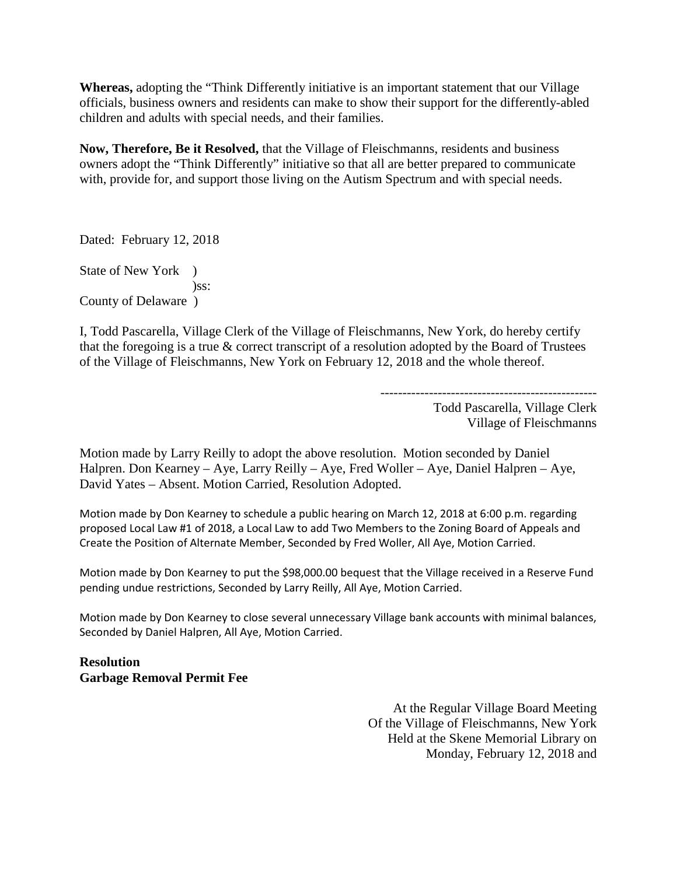**Whereas,** adopting the "Think Differently initiative is an important statement that our Village officials, business owners and residents can make to show their support for the differently-abled children and adults with special needs, and their families.

**Now, Therefore, Be it Resolved,** that the Village of Fleischmanns, residents and business owners adopt the "Think Differently" initiative so that all are better prepared to communicate with, provide for, and support those living on the Autism Spectrum and with special needs.

Dated: February 12, 2018

State of New York ) )ss: County of Delaware )

I, Todd Pascarella, Village Clerk of the Village of Fleischmanns, New York, do hereby certify that the foregoing is a true  $\&$  correct transcript of a resolution adopted by the Board of Trustees of the Village of Fleischmanns, New York on February 12, 2018 and the whole thereof.

-------------------------------------------------

Todd Pascarella, Village Clerk Village of Fleischmanns

Motion made by Larry Reilly to adopt the above resolution. Motion seconded by Daniel Halpren. Don Kearney – Aye, Larry Reilly – Aye, Fred Woller – Aye, Daniel Halpren – Aye, David Yates – Absent. Motion Carried, Resolution Adopted.

Motion made by Don Kearney to schedule a public hearing on March 12, 2018 at 6:00 p.m. regarding proposed Local Law #1 of 2018, a Local Law to add Two Members to the Zoning Board of Appeals and Create the Position of Alternate Member, Seconded by Fred Woller, All Aye, Motion Carried.

Motion made by Don Kearney to put the \$98,000.00 bequest that the Village received in a Reserve Fund pending undue restrictions, Seconded by Larry Reilly, All Aye, Motion Carried.

Motion made by Don Kearney to close several unnecessary Village bank accounts with minimal balances, Seconded by Daniel Halpren, All Aye, Motion Carried.

**Resolution Garbage Removal Permit Fee**

> At the Regular Village Board Meeting Of the Village of Fleischmanns, New York Held at the Skene Memorial Library on Monday, February 12, 2018 and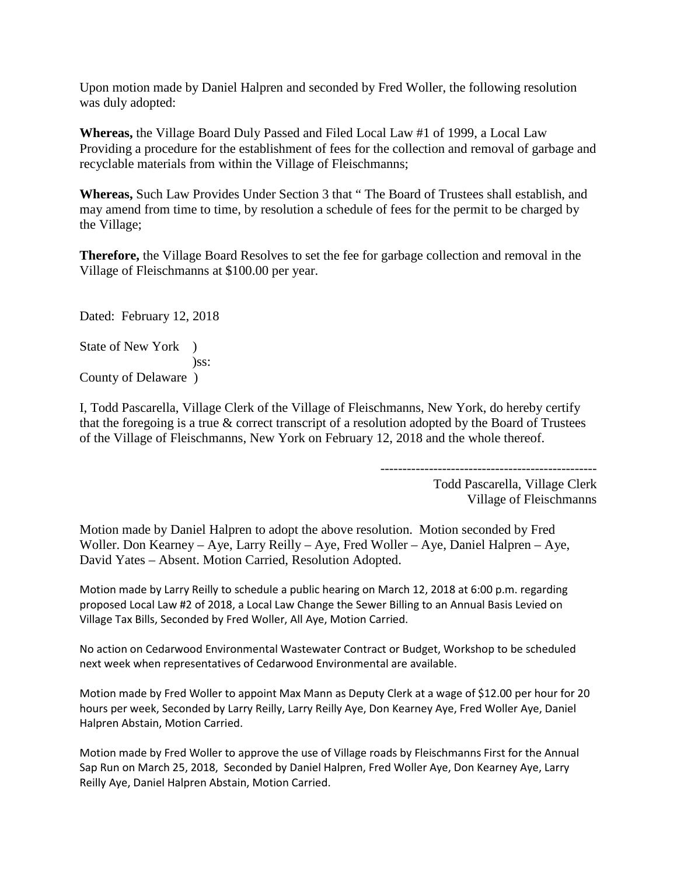Upon motion made by Daniel Halpren and seconded by Fred Woller, the following resolution was duly adopted:

**Whereas,** the Village Board Duly Passed and Filed Local Law #1 of 1999, a Local Law Providing a procedure for the establishment of fees for the collection and removal of garbage and recyclable materials from within the Village of Fleischmanns;

**Whereas,** Such Law Provides Under Section 3 that " The Board of Trustees shall establish, and may amend from time to time, by resolution a schedule of fees for the permit to be charged by the Village;

**Therefore,** the Village Board Resolves to set the fee for garbage collection and removal in the Village of Fleischmanns at \$100.00 per year.

Dated: February 12, 2018

State of New York )  $)$ ss: County of Delaware )

I, Todd Pascarella, Village Clerk of the Village of Fleischmanns, New York, do hereby certify that the foregoing is a true  $\&$  correct transcript of a resolution adopted by the Board of Trustees of the Village of Fleischmanns, New York on February 12, 2018 and the whole thereof.

-------------------------------------------------

Todd Pascarella, Village Clerk Village of Fleischmanns

Motion made by Daniel Halpren to adopt the above resolution. Motion seconded by Fred Woller. Don Kearney – Aye, Larry Reilly – Aye, Fred Woller – Aye, Daniel Halpren – Aye, David Yates – Absent. Motion Carried, Resolution Adopted.

Motion made by Larry Reilly to schedule a public hearing on March 12, 2018 at 6:00 p.m. regarding proposed Local Law #2 of 2018, a Local Law Change the Sewer Billing to an Annual Basis Levied on Village Tax Bills, Seconded by Fred Woller, All Aye, Motion Carried.

No action on Cedarwood Environmental Wastewater Contract or Budget, Workshop to be scheduled next week when representatives of Cedarwood Environmental are available.

Motion made by Fred Woller to appoint Max Mann as Deputy Clerk at a wage of \$12.00 per hour for 20 hours per week, Seconded by Larry Reilly, Larry Reilly Aye, Don Kearney Aye, Fred Woller Aye, Daniel Halpren Abstain, Motion Carried.

Motion made by Fred Woller to approve the use of Village roads by Fleischmanns First for the Annual Sap Run on March 25, 2018, Seconded by Daniel Halpren, Fred Woller Aye, Don Kearney Aye, Larry Reilly Aye, Daniel Halpren Abstain, Motion Carried.